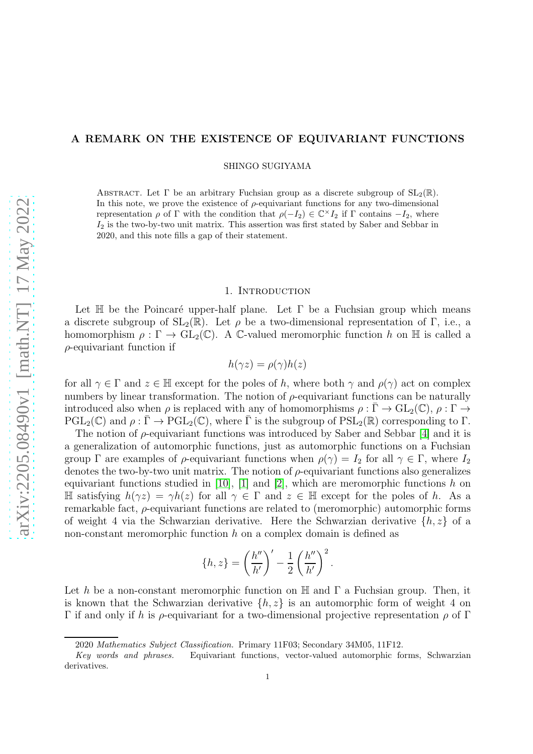# A REMARK ON THE EXISTENCE OF EQUIVARIANT FUNCTIONS

SHINGO SUGIYAMA

ABSTRACT. Let  $\Gamma$  be an arbitrary Fuchsian group as a discrete subgroup of  $SL_2(\mathbb{R})$ . In this note, we prove the existence of  $\rho$ -equivariant functions for any two-dimensional representation  $\rho$  of  $\Gamma$  with the condition that  $\rho(-I_2) \in \mathbb{C}^\times I_2$  if  $\Gamma$  contains  $-I_2$ , where  $I_2$  is the two-by-two unit matrix. This assertion was first stated by Saber and Sebbar in 2020, and this note fills a gap of their statement.

#### 1. INTRODUCTION

Let  $\mathbb H$  be the Poincaré upper-half plane. Let  $\Gamma$  be a Fuchsian group which means a discrete subgroup of  $SL_2(\mathbb{R})$ . Let *ρ* be a two-dimensional representation of Γ, i.e., a homomorphism  $\rho : \Gamma \to GL_2(\mathbb{C})$ . A C-valued meromorphic function h on H is called a  $\rho$ -equivariant function if

$$
h(\gamma z) = \rho(\gamma)h(z)
$$

for all  $\gamma \in \Gamma$  and  $z \in \mathbb{H}$  except for the poles of h, where both  $\gamma$  and  $\rho(\gamma)$  act on complex numbers by linear transformation. The notion of  $\rho$ -equivariant functions can be naturally introduced also when  $\rho$  is replaced with any of homomorphisms  $\rho : \overline{\Gamma} \to GL_2(\mathbb{C}), \rho : \Gamma \to$  $PGL_2(\mathbb{C})$  and  $\rho : \overline{\Gamma} \to PGL_2(\mathbb{C})$ , where  $\overline{\Gamma}$  is the subgroup of  $PSL_2(\mathbb{R})$  corresponding to  $\Gamma$ .

The notion of  $\rho$ -equivariant functions was introduced by Saber and Sebbar [\[4\]](#page-6-0) and it is a generalization of automorphic functions, just as automorphic functions on a Fuchsian group  $\Gamma$  are examples of  $\rho$ -equivariant functions when  $\rho(\gamma) = I_2$  for all  $\gamma \in \Gamma$ , where  $I_2$ denotes the two-by-two unit matrix. The notion of  $\rho$ -equivariant functions also generalizes equivariant functions studied in [\[10\]](#page-6-1), [\[1\]](#page-5-0) and [\[2\]](#page-5-1), which are meromorphic functions h on H satisfying  $h(\gamma z) = \gamma h(z)$  for all  $\gamma \in \Gamma$  and  $z \in \mathbb{H}$  except for the poles of h. As a remarkable fact, ρ-equivariant functions are related to (meromorphic) automorphic forms of weight 4 via the Schwarzian derivative. Here the Schwarzian derivative  $\{h, z\}$  of a non-constant meromorphic function  $h$  on a complex domain is defined as

$$
\{h,z\} = \left(\frac{h''}{h'}\right)' - \frac{1}{2}\left(\frac{h''}{h'}\right)^2.
$$

Let h be a non-constant meromorphic function on  $\mathbb H$  and  $\Gamma$  a Fuchsian group. Then, it is known that the Schwarzian derivative  $\{h, z\}$  is an automorphic form of weight 4 on Γ if and only if h is ρ-equivariant for a two-dimensional projective representation ρ of Γ

<sup>2020</sup> Mathematics Subject Classification. Primary 11F03; Secondary 34M05, 11F12.

Key words and phrases. Equivariant functions, vector-valued automorphic forms, Schwarzian derivatives.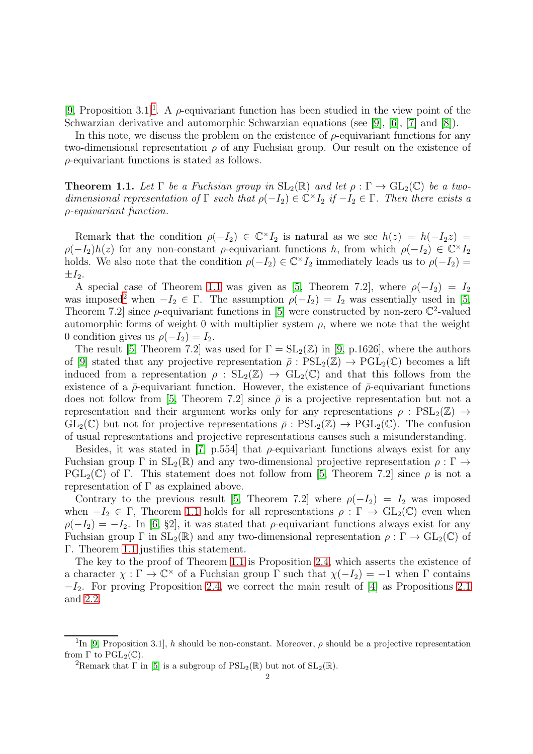[\[9,](#page-6-2) Proposition 3.[1](#page-1-0)]<sup>1</sup>. A  $\rho$ -equivariant function has been studied in the view point of the Schwarzian derivative and automorphic Schwarzian equations (see [\[9\]](#page-6-2), [\[6\]](#page-6-3), [\[7\]](#page-6-4) and [\[8\]](#page-6-5)).

In this note, we discuss the problem on the existence of  $\rho$ -equivariant functions for any two-dimensional representation  $\rho$  of any Fuchsian group. Our result on the existence of  $\rho$ -equivariant functions is stated as follows.

<span id="page-1-1"></span>**Theorem 1.1.** Let  $\Gamma$  be a Fuchsian group in  $SL_2(\mathbb{R})$  and let  $\rho : \Gamma \to GL_2(\mathbb{C})$  be a twodimensional representation of  $\Gamma$  such that  $\rho(-I_2) \in \mathbb{C}^{\times} I_2$  if  $-I_2 \in \Gamma$ . Then there exists a ρ-equivariant function.

Remark that the condition  $\rho(-I_2) \in \mathbb{C}^\times I_2$  is natural as we see  $h(z) = h(-I_2z) =$  $\rho(-I_2)h(z)$  for any non-constant  $\rho$ -equivariant functions h, from which  $\rho(-I_2) \in \mathbb{C}^{\times}I_2$ holds. We also note that the condition  $\rho(-I_2) \in \mathbb{C}^{\times} I_2$  immediately leads us to  $\rho(-I_2) =$  $\pm I_2$ .

A special case of Theorem [1.1](#page-1-1) was given as [\[5,](#page-6-6) Theorem 7.2], where  $\rho(-I_2) = I_2$ was imposed<sup>[2](#page-1-2)</sup> when  $-I_2 \in \Gamma$ . The assumption  $\rho(-I_2) = I_2$  was essentially used in [\[5,](#page-6-6) Theorem 7.2 since  $\rho$ -equivariant functions in [\[5\]](#page-6-6) were constructed by non-zero  $\mathbb{C}^2$ -valued automorphic forms of weight 0 with multiplier system  $\rho$ , where we note that the weight 0 condition gives us  $\rho(-I_2) = I_2$ .

The result [\[5,](#page-6-6) Theorem 7.2] was used for  $\Gamma = SL_2(\mathbb{Z})$  in [\[9,](#page-6-2) p.1626], where the authors of [\[9\]](#page-6-2) stated that any projective representation  $\bar{\rho}$  :  $PSL_2(\mathbb{Z}) \to PGL_2(\mathbb{C})$  becomes a lift induced from a representation  $\rho : SL_2(\mathbb{Z}) \to GL_2(\mathbb{C})$  and that this follows from the existence of a  $\bar{\rho}$ -equivariant function. However, the existence of  $\bar{\rho}$ -equivariant functions does not follow from [\[5,](#page-6-6) Theorem 7.2] since  $\bar{\rho}$  is a projective representation but not a representation and their argument works only for any representations  $\rho : \text{PSL}_2(\mathbb{Z}) \to$  $GL_2(\mathbb{C})$  but not for projective representations  $\overline{\rho}: PSL_2(\mathbb{Z}) \to PGL_2(\mathbb{C})$ . The confusion of usual representations and projective representations causes such a misunderstanding.

Besides, it was stated in [\[7,](#page-6-4) p.554] that  $\rho$ -equivariant functions always exist for any Fuchsian group  $\Gamma$  in  $SL_2(\mathbb{R})$  and any two-dimensional projective representation  $\rho : \Gamma \to$ PGL<sub>2</sub>(C) of Γ. This statement does not follow from [\[5,](#page-6-6) Theorem 7.2] since  $\rho$  is not a representation of  $\Gamma$  as explained above.

Contrary to the previous result [\[5,](#page-6-6) Theorem 7.2] where  $\rho(-I_2) = I_2$  was imposed when  $-I_2 \in \Gamma$ , Theorem [1.1](#page-1-1) holds for all representations  $\rho : \Gamma \to GL_2(\mathbb{C})$  even when  $\rho(-I_2) = -I_2$ . In [\[6,](#page-6-3) §2], it was stated that  $\rho$ -equivariant functions always exist for any Fuchsian group  $\Gamma$  in  $SL_2(\mathbb{R})$  and any two-dimensional representation  $\rho : \Gamma \to GL_2(\mathbb{C})$  of Γ. Theorem [1.1](#page-1-1) justifies this statement.

The key to the proof of Theorem [1.1](#page-1-1) is Proposition [2.4,](#page-5-2) which asserts the existence of a character  $\chi : \Gamma \to \mathbb{C}^\times$  of a Fuchsian group  $\Gamma$  such that  $\chi(-I_2) = -1$  when  $\Gamma$  contains  $-I_2$ . For proving Proposition [2.4,](#page-5-2) we correct the main result of [\[4\]](#page-6-0) as Propositions [2.1](#page-2-0) and [2.2.](#page-2-1)

<sup>&</sup>lt;sup>1</sup>In [\[9,](#page-6-2) Proposition 3.1], h should be non-constant. Moreover,  $\rho$  should be a projective representation from  $\Gamma$  to  $\mathrm{PGL}_2(\mathbb{C})$ .

<span id="page-1-2"></span><span id="page-1-0"></span><sup>&</sup>lt;sup>2</sup>Remark that  $\Gamma$  in [\[5\]](#page-6-6) is a subgroup of  $PSL_2(\mathbb{R})$  but not of  $SL_2(\mathbb{R})$ .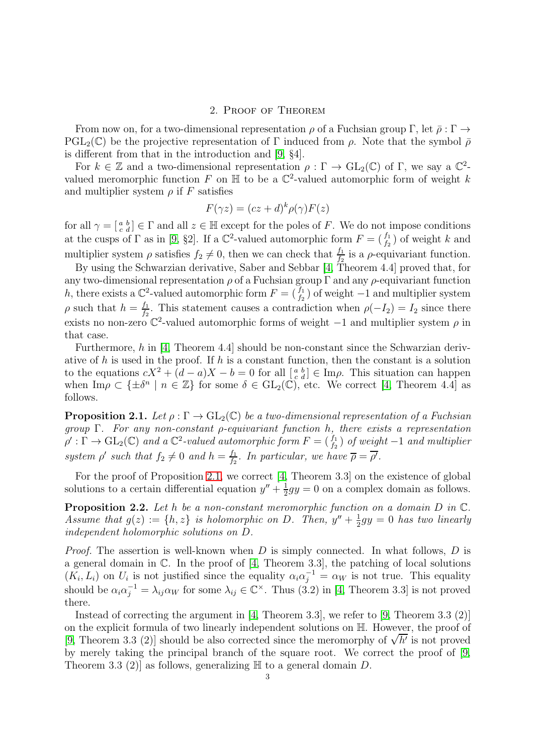# 2. Proof of Theorem

From now on, for a two-dimensional representation  $\rho$  of a Fuchsian group  $\Gamma$ , let  $\bar{\rho}: \Gamma \to$  $PGL_2(\mathbb{C})$  be the projective representation of Γ induced from  $\rho$ . Note that the symbol  $\bar{\rho}$ is different from that in the introduction and [\[9,](#page-6-2) §4].

For  $k \in \mathbb{Z}$  and a two-dimensional representation  $\rho : \Gamma \to \text{GL}_2(\mathbb{C})$  of  $\Gamma$ , we say a  $\mathbb{C}^2$ valued meromorphic function F on  $\mathbb H$  to be a  $\mathbb C^2$ -valued automorphic form of weight k and multiplier system  $\rho$  if F satisfies

$$
F(\gamma z) = (cz + d)^k \rho(\gamma) F(z)
$$

for all  $\gamma = \begin{bmatrix} a & b \\ c & d \end{bmatrix} \in \Gamma$  and all  $z \in \mathbb{H}$  except for the poles of F. We do not impose conditions at the cusps of  $\Gamma$  as in [\[9,](#page-6-2) §2]. If a  $\mathbb{C}^2$ -valued automorphic form  $F = \begin{pmatrix} f_1 \\ f_2 \end{pmatrix}$  of weight k and multiplier system  $\rho$  satisfies  $f_2 \neq 0$ , then we can check that  $\frac{f_1}{f_2}$  is a  $\rho$ -equivariant function.

By using the Schwarzian derivative, Saber and Sebbar [\[4,](#page-6-0) Theorem 4.4] proved that, for any two-dimensional representation  $\rho$  of a Fuchsian group  $\Gamma$  and any  $\rho$ -equivariant function h, there exists a  $\mathbb{C}^2$ -valued automorphic form  $F = \begin{pmatrix} f_1 \\ f_2 \end{pmatrix}$  of weight  $-1$  and multiplier system  $\rho$  such that  $h = \frac{f_1}{f_2}$  $\frac{f_1}{f_2}$ . This statement causes a contradiction when  $\rho(-I_2) = I_2$  since there exists no non-zero  $\mathbb{C}^2$ -valued automorphic forms of weight  $-1$  and multiplier system  $\rho$  in that case.

Furthermore, h in [\[4,](#page-6-0) Theorem 4.4] should be non-constant since the Schwarzian derivative of h is used in the proof. If h is a constant function, then the constant is a solution to the equations  $cX^2 + (d - a)X - b = 0$  for all  $\begin{bmatrix} a & b \\ c & d \end{bmatrix} \in \text{Im}\rho$ . This situation can happen when  $\text{Im}\rho \subset \{\pm \delta^n \mid n \in \mathbb{Z}\}\$  for some  $\delta \in GL_2(\mathbb{C})$ , etc. We correct [\[4,](#page-6-0) Theorem 4.4] as follows.

<span id="page-2-0"></span>**Proposition 2.1.** Let  $\rho : \Gamma \to GL_2(\mathbb{C})$  be a two-dimensional representation of a Fuchsian group  $\Gamma$ . For any non-constant  $\rho$ -equivariant function h, there exists a representation  $\rho':\Gamma\to\mathrm{GL}_2(\mathbb{C})$  and a  $\mathbb{C}^2$ -valued automorphic form  $F=(\begin{smallmatrix}f_1\f_2\end{smallmatrix})$  of weight  $-1$  and multiplier system  $\rho'$  such that  $f_2 \neq 0$  and  $h = \frac{f_1}{f_2}$  $\frac{f_1}{f_2}$ . In particular, we have  $\overline{\rho} = \overline{\rho'}$ .

For the proof of Proposition [2.1,](#page-2-0) we correct [\[4,](#page-6-0) Theorem 3.3] on the existence of global solutions to a certain differential equation  $y'' + \frac{1}{2}$  $\frac{1}{2}gy = 0$  on a complex domain as follows.

<span id="page-2-1"></span>**Proposition 2.2.** Let h be a non-constant meromorphic function on a domain  $D$  in  $\mathbb{C}$ . Assume that  $g(z) := \{h, z\}$  is holomorphic on D. Then,  $y'' + \frac{1}{2}$  $\frac{1}{2}gy = 0$  has two linearly independent holomorphic solutions on D.

*Proof.* The assertion is well-known when D is simply connected. In what follows, D is a general domain in C. In the proof of [\[4,](#page-6-0) Theorem 3.3], the patching of local solutions  $(K_i, L_i)$  on  $U_i$  is not justified since the equality  $\alpha_i \alpha_j^{-1} = \alpha_W$  is not true. This equality should be  $\alpha_i \alpha_j^{-1} = \lambda_{ij} \alpha_W$  for some  $\lambda_{ij} \in \mathbb{C}^\times$ . Thus (3.2) in [\[4,](#page-6-0) Theorem 3.3] is not proved there.

Instead of correcting the argument in [\[4,](#page-6-0) Theorem 3.3], we refer to [\[9,](#page-6-2) Theorem 3.3 (2)] on the explicit formula of two linearly independent solutions on H. However, the proof of [\[9,](#page-6-2) Theorem 3.3 (2)] should be also corrected since the meromorphy of  $\sqrt{h'}$  is not proved by merely taking the principal branch of the square root. We correct the proof of [\[9,](#page-6-2) Theorem 3.3 (2)] as follows, generalizing  $\mathbb H$  to a general domain D.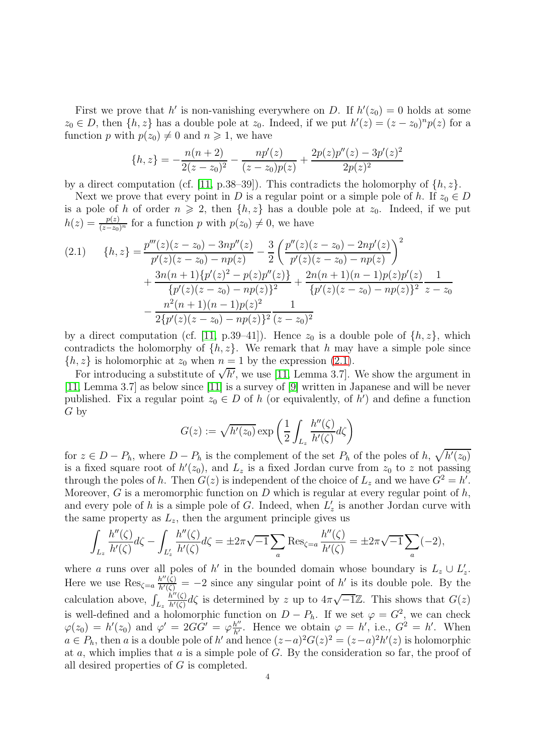First we prove that h' is non-vanishing everywhere on D. If  $h'(z_0) = 0$  holds at some  $z_0 \in D$ , then  $\{h, z\}$  has a double pole at  $z_0$ . Indeed, if we put  $h'(z) = (z - z_0)^n p(z)$  for a function p with  $p(z_0) \neq 0$  and  $n \geq 1$ , we have

$$
\{h,z\} = -\frac{n(n+2)}{2(z-z_0)^2} - \frac{np'(z)}{(z-z_0)p(z)} + \frac{2p(z)p''(z) - 3p'(z)^2}{2p(z)^2}
$$

by a direct computation (cf. [\[11,](#page-6-7) p.38–39]). This contradicts the holomorphy of  $\{h, z\}$ .

Next we prove that every point in D is a regular point or a simple pole of h. If  $z_0 \in D$ is a pole of h of order  $n \ge 2$ , then  $\{h, z\}$  has a double pole at  $z_0$ . Indeed, if we put  $h(z) = \frac{p(z)}{(z-z_0)^n}$  for a function p with  $p(z_0) \neq 0$ , we have

<span id="page-3-0"></span>
$$
(2.1) \qquad \{h,z\} = \frac{p'''(z)(z-z_0) - 3np''(z)}{p'(z)(z-z_0) - np(z)} - \frac{3}{2} \left(\frac{p''(z)(z-z_0) - 2np'(z)}{p'(z)(z-z_0) - np(z)}\right)^2 + \frac{3n(n+1)\{p'(z)^2 - p(z)p''(z)\}}{\{p'(z)(z-z_0) - np(z)\}^2} + \frac{2n(n+1)(n-1)p(z)p'(z)}{\{p'(z)(z-z_0) - np(z)\}^2} \frac{1}{z-z_0} - \frac{n^2(n+1)(n-1)p(z)^2}{2\{p'(z)(z-z_0) - np(z)\}^2} \frac{1}{(z-z_0)^2}
$$

by a direct computation (cf. [\[11,](#page-6-7) p.39–41]). Hence  $z_0$  is a double pole of  $\{h, z\}$ , which contradicts the holomorphy of  $\{h, z\}$ . We remark that h may have a simple pole since  $\{h, z\}$  is holomorphic at  $z_0$  when  $n = 1$  by the expression [\(2.1\)](#page-3-0).

For introducing a substitute of  $\sqrt{h'}$ , we use [\[11,](#page-6-7) Lemma 3.7]. We show the argument in [\[11,](#page-6-7) Lemma 3.7] as below since [\[11\]](#page-6-7) is a survey of [\[9\]](#page-6-2) written in Japanese and will be never published. Fix a regular point  $z_0 \in D$  of h (or equivalently, of  $\hat{h}'$ ) and define a function G by

$$
G(z):=\sqrt{h'(z_0)}\exp\left(\frac{1}{2}\int_{L_z}\frac{h''(\zeta)}{h'(\zeta)}d\zeta\right)
$$

for  $z \in D - P_h$ , where  $D - P_h$  is the complement of the set  $P_h$  of the poles of  $h, \sqrt{h'(z_0)}$ is a fixed square root of  $h'(z_0)$ , and  $L_z$  is a fixed Jordan curve from  $z_0$  to z not passing through the poles of h. Then  $G(z)$  is independent of the choice of  $L_z$  and we have  $G^2 = h'$ . Moreover, G is a meromorphic function on  $D$  which is regular at every regular point of  $h$ , and every pole of h is a simple pole of G. Indeed, when  $L'$  $z_{z}$  is another Jordan curve with the same property as  $L_z$ , then the argument principle gives us

$$
\int_{L_z} \frac{h''(\zeta)}{h'(\zeta)} d\zeta - \int_{L'_z} \frac{h''(\zeta)}{h'(\zeta)} d\zeta = \pm 2\pi \sqrt{-1} \sum_a \text{Res}_{\zeta=a} \frac{h''(\zeta)}{h'(\zeta)} = \pm 2\pi \sqrt{-1} \sum_a (-2),
$$

where a runs over all poles of h' in the bounded domain whose boundary is  $L_z \cup L'_z$ . z Here we use  $\text{Res}_{\zeta=a} \frac{h''(\zeta)}{h'(\zeta)} = -2$  since any singular point of h' is its double pole. By the calculation above,  $\int_{L_z}$  $\tilde{h}''(\zeta)$  $\frac{\partial h''(\zeta)}{h'(\zeta)}d\zeta$  is determined by z up to  $4\pi\sqrt{-1}\mathbb{Z}$ . This shows that  $G(z)$ is well-defined and a holomorphic function on  $D - P_h$ . If we set  $\varphi = G^2$ , we can check  $\varphi(z_0) = h'(z_0)$  and  $\varphi' = 2G\dot{G}' = \varphi\frac{h''}{h'}$  $\frac{h''}{h'}$ . Hence we obtain  $\varphi = h'$ , i.e.,  $G^2 = h'$ . When  $a \in P_h$ , then a is a double pole of h' and hence  $(z-a)^2 G(z)^2 = (z-a)^2 h'(z)$  is holomorphic at a, which implies that a is a simple pole of  $G$ . By the consideration so far, the proof of all desired properties of G is completed.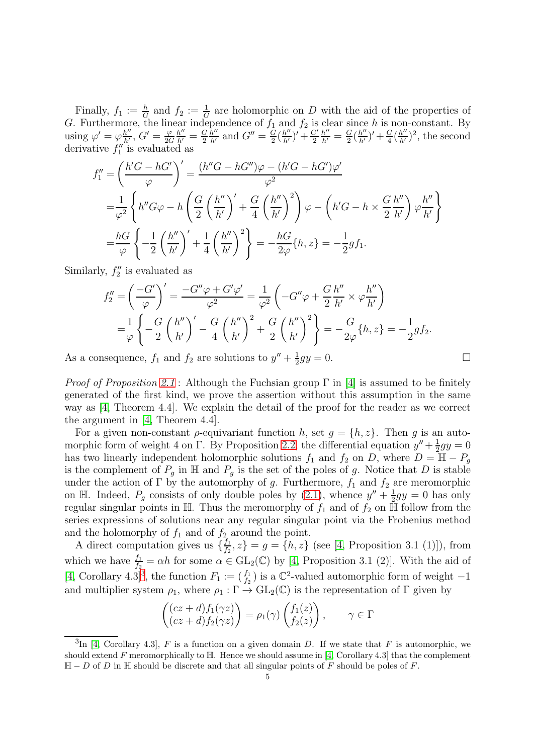Finally,  $f_1 := \frac{h}{G}$  and  $f_2 := \frac{1}{G}$  are holomorphic on D with the aid of the properties of G. Furthermore, the linear independence of  $f_1$  and  $f_2$  is clear since h is non-constant. By using  $\varphi' = \varphi_{h'}^{h''}$  $\frac{h^{\prime \prime }}{h^{\prime }},\,G^{\prime }=\frac{\varphi }{2C}$ 2G  $\frac{h''}{h'} = \frac{G}{2}$ 2  $\frac{h''}{h'}$  and  $G'' = \frac{G}{2}$  $\frac{\frac{1}{G}}{2}(\frac{h''}{h'})' + \frac{G'}{2}$ 2  $\frac{h''}{h'}=\frac{G}{2}$  $\frac{G}{2}(\frac{h''}{h'})' + \frac{G}{4}$  $\frac{G}{4}(\frac{h^{\prime\prime}}{h^{\prime}})^2$ , the second derivative  $f_1''$  $\frac{1}{1}$  is evaluated as

$$
f_1'' = \left(\frac{h'G - hG'}{\varphi}\right)' = \frac{(h''G - hG'')\varphi - (h'G - hG')\varphi'}{\varphi^2}
$$
  

$$
= \frac{1}{\varphi^2} \left\{ h''G\varphi - h\left(\frac{G}{2}\left(\frac{h''}{h'}\right)' + \frac{G}{4}\left(\frac{h''}{h'}\right)^2 \right)\varphi - \left(h'G - h \times \frac{G}{2}\frac{h''}{h'}\right)\varphi\frac{h''}{h'}\right\}
$$
  

$$
= \frac{hG}{\varphi} \left\{-\frac{1}{2}\left(\frac{h''}{h'}\right)' + \frac{1}{4}\left(\frac{h''}{h'}\right)^2\right\} = -\frac{hG}{2\varphi}\{h, z\} = -\frac{1}{2}gf_1.
$$

Similarly,  $f_2''$  $2^{\prime\prime}$  is evaluated as

$$
f_2'' = \left(\frac{-G'}{\varphi}\right)' = \frac{-G''\varphi + G'\varphi'}{\varphi^2} = \frac{1}{\varphi^2} \left(-G''\varphi + \frac{G}{2}\frac{h''}{h'} \times \varphi \frac{h''}{h'}\right)
$$
  
=  $\frac{1}{\varphi} \left\{-\frac{G}{2}\left(\frac{h''}{h'}\right)' - \frac{G}{4}\left(\frac{h''}{h'}\right)^2 + \frac{G}{2}\left(\frac{h''}{h'}\right)^2\right\} = -\frac{G}{2\varphi}\{h, z\} = -\frac{1}{2}gf_2.$ 

As a consequence,  $f_1$  and  $f_2$  are solutions to  $y'' + \frac{1}{2}$  $\frac{1}{2}gy = 0.$ 

*Proof of Proposition 2.1*: Although the Fuchsian group 
$$
\Gamma
$$
 in [4] is assumed to be finitely generated of the first kind, we prove the assertion without this assumption in the same way as [4, Theorem 4.4]. We explain the detail of the proof for the reader as we correct the argument in [4, Theorem 4.4].

For a given non-constant  $\rho$ -equivariant function h, set  $g = \{h, z\}$ . Then g is an automorphic form of weight 4 on  $\Gamma$ . By Proposition [2.2,](#page-2-1) the differential equation  $y'' + \frac{1}{2}$  $\frac{1}{2}gy = 0$ has two linearly independent holomorphic solutions  $f_1$  and  $f_2$  on D, where  $D = \mathbb{H} - P_q$ is the complement of  $P_g$  in H and  $P_g$  is the set of the poles of g. Notice that D is stable under the action of  $\Gamma$  by the automorphy of g. Furthermore,  $f_1$  and  $f_2$  are meromorphic on H. Indeed,  $P_g$  consists of only double poles by [\(2.1\)](#page-3-0), whence  $y'' + \frac{1}{2}$  $\frac{1}{2}gy = 0$  has only regular singular points in  $\mathbb{H}$ . Thus the meromorphy of  $f_1$  and of  $f_2$  on  $\mathbb{H}$  follow from the series expressions of solutions near any regular singular point via the Frobenius method and the holomorphy of  $f_1$  and of  $f_2$  around the point.

A direct computation gives us  $\{\frac{f_1}{f_2}\}$  $\{f_1, f_2, z\} = g = \{h, z\}$  (see [\[4,](#page-6-0) Proposition 3.1 (1)]), from which we have  $\frac{f_1}{f_2} = \alpha h$  for some  $\alpha \in GL_2(\mathbb{C})$  by [\[4,](#page-6-0) Proposition 3.1 (2)]. With the aid of [\[4,](#page-6-0) Corollary 4.[3](#page-4-0)]<sup>3</sup>, the function  $F_1 := \begin{pmatrix} f_1 \\ f_2 \end{pmatrix}$  is a  $\mathbb{C}^2$ -valued automorphic form of weight  $-1$ and multiplier system  $\rho_1$ , where  $\rho_1 : \Gamma \to GL_2(\mathbb{C})$  is the representation of  $\Gamma$  given by

$$
\begin{pmatrix}\n(cz+d)f_1(\gamma z) \\
(cz+d)f_2(\gamma z)\n\end{pmatrix} = \rho_1(\gamma) \begin{pmatrix} f_1(z) \\
f_2(z)\n\end{pmatrix}, \quad \gamma \in \Gamma
$$

<span id="page-4-0"></span> ${}^{3}\text{In}$  [\[4,](#page-6-0) Corollary 4.3], F is a function on a given domain D. If we state that F is automorphic, we should extend F meromorphically to  $H$ . Hence we should assume in [\[4,](#page-6-0) Corollary 4.3] that the complement  $\mathbb{H} - D$  of D in  $\mathbb{H}$  should be discrete and that all singular points of F should be poles of F.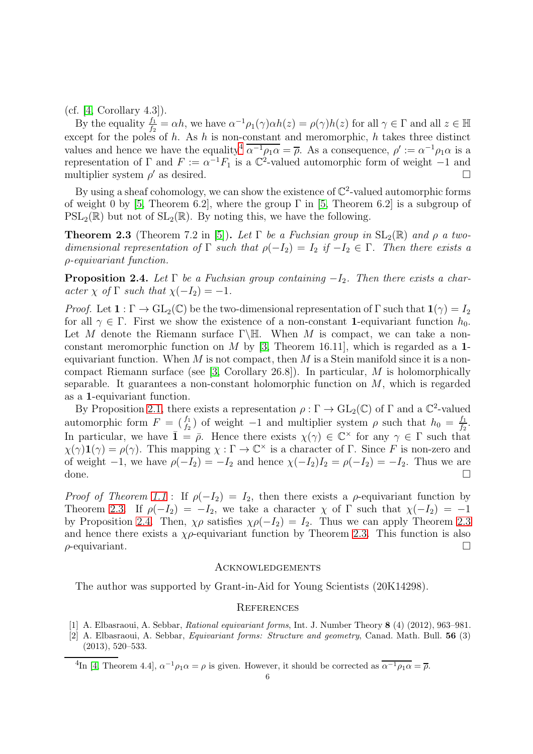$(cf. [4, Corollary 4.3]).$  $(cf. [4, Corollary 4.3]).$  $(cf. [4, Corollary 4.3]).$ 

By the equality  $\frac{f_1}{f_2} = \alpha h$ , we have  $\alpha^{-1} \rho_1(\gamma) \alpha h(z) = \rho(\gamma) h(z)$  for all  $\gamma \in \Gamma$  and all  $z \in \mathbb{H}$ except for the poles of h. As h is non-constant and meromorphic, h takes three distinct values and hence we have the equality<sup>[4](#page-5-3)</sup>  $\overline{\alpha^{-1}\rho_1\alpha} = \overline{\rho}$ . As a consequence,  $\rho' := \alpha^{-1}\rho_1\alpha$  is a representation of  $\Gamma$  and  $F := \alpha^{-1} F_1$  is a  $\mathbb{C}^2$ -valued automorphic form of weight -1 and multiplier system  $\rho'$  as desired.

By using a sheaf cohomology, we can show the existence of  $\mathbb{C}^2$ -valued automorphic forms of weight 0 by [\[5,](#page-6-6) Theorem 6.2], where the group  $\Gamma$  in [5, Theorem 6.2] is a subgroup of  $PSL_2(\mathbb{R})$  but not of  $SL_2(\mathbb{R})$ . By noting this, we have the following.

<span id="page-5-4"></span>**Theorem 2.3** (Theorem 7.2 in [\[5\]](#page-6-6)). Let  $\Gamma$  be a Fuchsian group in  $SL_2(\mathbb{R})$  and  $\rho$  a twodimensional representation of  $\Gamma$  such that  $\rho(-I_2) = I_2$  if  $-I_2 \in \Gamma$ . Then there exists a ρ-equivariant function.

<span id="page-5-2"></span>**Proposition 2.4.** Let  $\Gamma$  be a Fuchsian group containing  $-I_2$ . Then there exists a character  $\chi$  of  $\Gamma$  such that  $\chi(-I_2) = -1$ .

*Proof.* Let  $1 : \Gamma \to GL_2(\mathbb{C})$  be the two-dimensional representation of  $\Gamma$  such that  $1(\gamma) = I_2$ for all  $\gamma \in \Gamma$ . First we show the existence of a non-constant 1-equivariant function  $h_0$ . Let M denote the Riemann surface  $\Gamma \backslash \mathbb{H}$ . When M is compact, we can take a nonconstant meromorphic function on  $M$  by [\[3,](#page-6-8) Theorem 16.11], which is regarded as a 1equivariant function. When  $M$  is not compact, then  $M$  is a Stein manifold since it is a noncompact Riemann surface (see [\[3,](#page-6-8) Corollary 26.8]). In particular, M is holomorphically separable. It guarantees a non-constant holomorphic function on  $M$ , which is regarded as a 1-equivariant function.

By Proposition [2.1,](#page-2-0) there exists a representation  $\rho : \Gamma \to GL_2(\mathbb{C})$  of  $\Gamma$  and a  $\mathbb{C}^2$ -valued automorphic form  $F = \begin{pmatrix} f_1 \\ f_2 \end{pmatrix}$  of weight -1 and multiplier system  $\rho$  such that  $h_0 = \frac{f_1}{f_2}$  $\frac{f_1}{f_2}.$ In particular, we have  $\bar{\mathbf{1}} = \bar{\rho}$ . Hence there exists  $\chi(\gamma) \in \mathbb{C}^\times$  for any  $\gamma \in \Gamma$  such that  $\chi(\gamma)$ **1**( $\gamma$ ) =  $\rho(\gamma)$ . This mapping  $\chi : \Gamma \to \mathbb{C}^{\times}$  is a character of  $\Gamma$ . Since F is non-zero and of weight  $-1$ , we have  $\rho(-I_2) = -I_2$  and hence  $\chi(-I_2)I_2 = \rho(-I_2) = -I_2$ . Thus we are done. done.  $\Box$ 

*Proof of Theorem [1.1](#page-1-1)* : If  $\rho(-I_2) = I_2$ , then there exists a  $\rho$ -equivariant function by Theorem [2.3.](#page-5-4) If  $\rho(-I_2) = -I_2$ , we take a character  $\chi$  of  $\Gamma$  such that  $\chi(-I_2) = -1$ by Proposition [2.4.](#page-5-2) Then,  $\chi \rho$  satisfies  $\chi \rho(-I_2) = I_2$ . Thus we can apply Theorem [2.3](#page-5-4) and hence there exists a  $\chi \rho$ -equivariant function by Theorem [2.3.](#page-5-4) This function is also  $\rho$ -equivariant.

# Acknowledgements

The author was supported by Grant-in-Aid for Young Scientists (20K14298).

# **REFERENCES**

- <span id="page-5-1"></span><span id="page-5-0"></span>[1] A. Elbasraoui, A. Sebbar, Rational equivariant forms, Int. J. Number Theory 8 (4) (2012), 963–981.
- [2] A. Elbasraoui, A. Sebbar, Equivariant forms: Structure and geometry, Canad. Math. Bull. 56 (3) (2013), 520–533.

<span id="page-5-3"></span><sup>4</sup>In [\[4,](#page-6-0) Theorem 4.4],  $\alpha^{-1}\rho_1\alpha = \rho$  is given. However, it should be corrected as  $\alpha^{-1}\rho_1\alpha = \overline{\rho}$ .